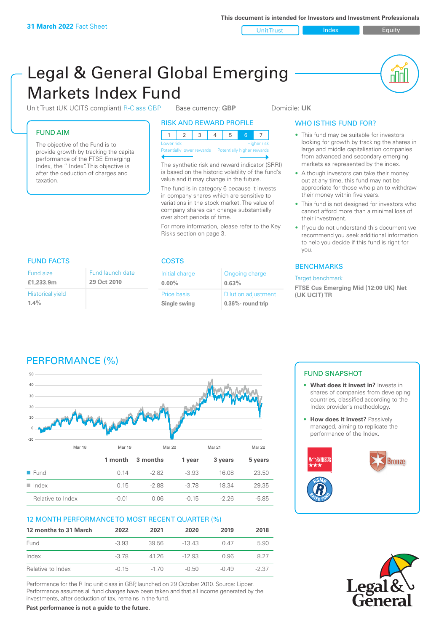Unit Trust Index **Index** Equity

u lu

# Legal & General Global Emerging Markets Index Fund

Unit Trust (UK UCITS compliant) R-Class GBP Base currency: **GBP** Domicile: UK

#### FUND AIM

The objective of the Fund is to provide growth by tracking the capital performance of the FTSE Emerging Index, the " Index". This objective is after the deduction of charges and taxation.

#### RISK AND REWARD PROFILE

| Lower risk |  |  |  | <b>Higher risk</b> |  |
|------------|--|--|--|--------------------|--|

**Prially lower rewards** 

The synthetic risk and reward indicator (SRRI) is based on the historic volatility of the fund's value and it may change in the future.

The fund is in category 6 because it invests in company shares which are sensitive to variations in the stock market. The value of company shares can change substantially over short periods of time.

For more information, please refer to the Key Risks section on page 3.

#### WHO IS THIS FUND FOR?

- This fund may be suitable for investors looking for growth by tracking the shares in large and middle capitalisation companies from advanced and secondary emerging markets as represented by the index.
- Although investors can take their money out at any time, this fund may not be appropriate for those who plan to withdraw their money within five years.
- This fund is not designed for investors who cannot afford more than a minimal loss of their investment.
- If you do not understand this document we recommend you seek additional information to help you decide if this fund is right for you.

#### **BENCHMARKS**

#### Target benchmark

**FTSE Cus Emerging Mid (12:00 UK) Net (UK UCIT) TR**

#### FUND FACTS COSTS

| Fund size                          | Fund launch date |
|------------------------------------|------------------|
| £1,233.9m                          | 29 Oct 2010      |
| <b>Historical yield</b><br>$1.4\%$ |                  |

| Initial charge | Ongoing charge             |
|----------------|----------------------------|
| $0.00\%$       | 0.63%                      |
| Price basis    | <b>Dilution adjustment</b> |
| Single swing   | $0.36\%$ - round trip      |

## PERFORMANCE (%)



### 12 MONTH PERFORMANCE TO MOST RECENT QUARTER (%)

| 12 months to 31 March | 2022    | 2021     | 2020     | 2019  | 2018    |
|-----------------------|---------|----------|----------|-------|---------|
| Fund                  | $-3.93$ | 39.56    | -13 43   | 0.47  | 5.90    |
| Index                 | -3.78   | 4126     | $-12.93$ | O 96  | 827     |
| Relative to Index     | $-0.15$ | $-1\,70$ | -0.50    | -0.49 | $-2.37$ |

Performance for the R Inc unit class in GBP, launched on 29 October 2010. Source: Lipper. Performance assumes all fund charges have been taken and that all income generated by the investments, after deduction of tax, remains in the fund.

**Past performance is not a guide to the future.**

#### FUND SNAPSHOT

- **• What does it invest in?** Invests in shares of companies from developing countries, classified according to the Index provider's methodology.
- **How does it invest?** Passively managed, aiming to replicate the performance of the Index.



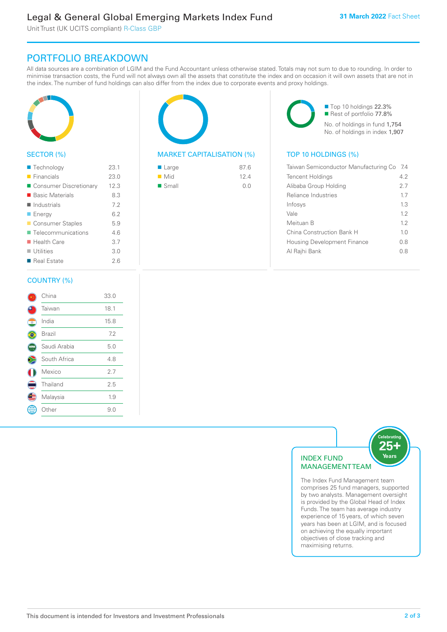Unit Trust (UK UCITS compliant) R-Class GBP

### PORTFOLIO BREAKDOWN

All data sources are a combination of LGIM and the Fund Accountant unless otherwise stated. Totals may not sum to due to rounding. In order to minimise transaction costs, the Fund will not always own all the assets that constitute the index and on occasion it will own assets that are not in the index. The number of fund holdings can also differ from the index due to corporate events and proxy holdings.



#### SECTOR (%)

| ■ Technology               | 23.1 |
|----------------------------|------|
| $\blacksquare$ Financials  | 23.0 |
| ■ Consumer Discretionary   | 12.3 |
| ■ Basic Materials          | 8.3  |
| $\blacksquare$ Industrials | 7.2  |
| <b>Energy</b>              | 6.2  |
| Consumer Staples           | 5.9  |
| ■ Telecommunications       | 46   |
| $\blacksquare$ Health Care | 3.7  |
| $\blacksquare$ Utilities   | 3.0  |
| ■ Real Estate              | 26   |
|                            |      |

#### COUNTRY (%)

|            | China        | 33.0 |  |
|------------|--------------|------|--|
|            | Taiwan       | 18.1 |  |
| $^{\circ}$ | India        | 15.8 |  |
|            | Brazil       | 7.2  |  |
|            | Saudi Arabia | 5.0  |  |
|            | South Africa | 4.8  |  |
|            | Mexico       | 2.7  |  |
|            | Thailand     | 2.5  |  |
|            | Malaysia     | 1.9  |  |
|            | Other        | 9.0  |  |
|            |              |      |  |

#### MARKET CAPITALISATION (%) TOP 10 HOLDINGS (%)

| ■ Large              | 87.6 |
|----------------------|------|
| $\blacksquare$ Mid   | 12.4 |
| $\blacksquare$ Small | 0.0  |

■ Top 10 holdings 22.3% Rest of portfolio 77.8% No. of holdings in fund 1,754 No. of holdings in index 1,907

| Taiwan Semiconductor Manufacturing Co | -7.4 |
|---------------------------------------|------|
| <b>Tencent Holdings</b>               | 4.2  |
| Alibaba Group Holding                 | 2.7  |
| Reliance Industries                   | 1.7  |
| Infosys                               | 1.3  |
| Vale                                  | 12   |
| Meituan B                             | 12   |
| China Construction Bank H             | 1.0  |
| <b>Housing Development Finance</b>    | 0.8  |
| Al Rajhi Bank                         | 0 8  |
|                                       |      |



The Index Fund Management team comprises 25 fund managers, supported by two analysts. Management oversight is provided by the Global Head of Index Funds. The team has average industry experience of 15 years, of which seven years has been at LGIM, and is focused on achieving the equally important objectives of close tracking and maximising returns.